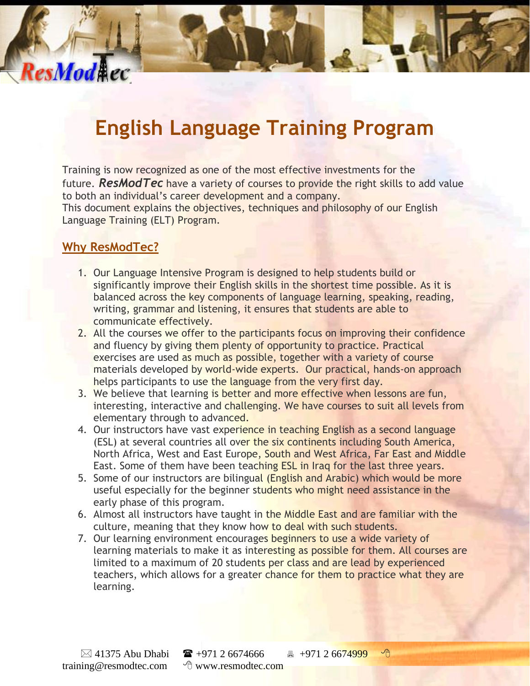# **English Language Training Program**

Training is now recognized as one of the most effective investments for the future. *ResModTec* have a variety of courses to provide the right skills to add value to both an individual's career development and a company.

This document explains the objectives, techniques and philosophy of our English Language Training (ELT) Program.

#### **Why ResModTec?**

ResModAec

- 1. Our Language Intensive Program is designed to help students build or significantly improve their English skills in the shortest time possible. As it is balanced across the key components of language learning, speaking, reading, writing, grammar and listening, it ensures that students are able to communicate effectively.
- 2. All the courses we offer to the participants focus on improving their confidence and fluency by giving them plenty of opportunity to practice. Practical exercises are used as much as possible, together with a variety of course materials developed by world-wide experts. Our practical, hands-on approach helps participants to use the language from the very first day.
- 3. We believe that learning is better and more effective when lessons are fun, interesting, interactive and challenging. We have courses to suit all levels from elementary through to advanced.
- 4. Our instructors have vast experience in teaching English as a second language (ESL) at several countries all over the six continents including South America, North Africa, West and East Europe, South and West Africa, Far East and Middle East. Some of them have been teaching ESL in Iraq for the last three years.
- 5. Some of our instructors are bilingual (English and Arabic) which would be more useful especially for the beginner students who might need assistance in the early phase of this program.
- 6. Almost all instructors have taught in the Middle East and are familiar with the culture, meaning that they know how to deal with such students.
- 7. Our learning environment encourages beginners to use a wide variety of learning materials to make it as interesting as possible for them. All courses are limited to a maximum of 20 students per class and are lead by experienced teachers, which allows for a greater chance for them to practice what they are learning.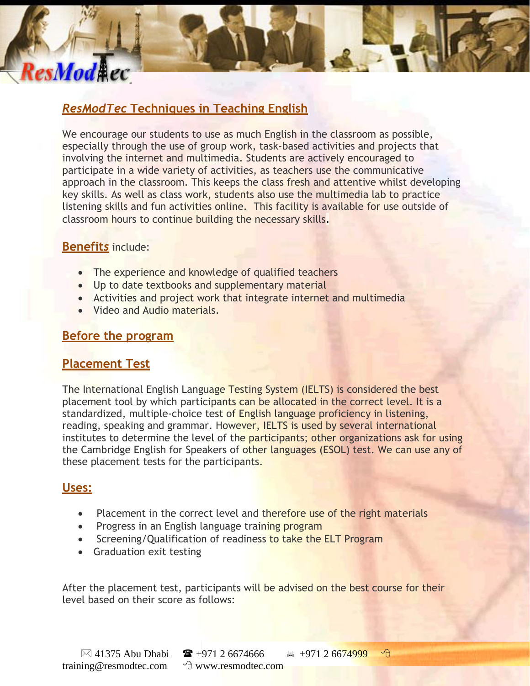# *ResModTec* **Techniques in Teaching English**

We encourage our students to use as much English in the classroom as possible, especially through the use of group work, task-based activities and projects that involving the internet and multimedia. Students are actively encouraged to participate in a wide variety of activities, as teachers use the communicative approach in the classroom. This keeps the class fresh and attentive whilst developing key skills. As well as class work, students also use the multimedia lab to practice listening skills and fun activities online. This facility is available for use outside of classroom hours to continue building the necessary skills.

#### **Benefit***s* include:

ResModAec

- The experience and knowledge of qualified teachers
- Up to date textbooks and supplementary material
- Activities and project work that integrate internet and multimedia
- Video and Audio materials.

#### **Before the program**

#### **Placement Test**

The International English Language Testing System (IELTS) is considered the best placement tool by which participants can be allocated in the correct level. It is a standardized, multiple-choice test of English language proficiency in listening, reading, speaking and grammar. However, IELTS is used by several international institutes to determine the level of the participants; other organizations ask for using the Cambridge English for Speakers of other languages (ESOL) test. We can use any of these placement tests for the participants.

#### **Uses:**

- Placement in the correct level and therefore use of the right materials
- Progress in an English language training program
- Screening/Qualification of readiness to take the ELT Program
- Graduation exit testing

After the placement test, participants will be advised on the best course for their level based on their score as follows: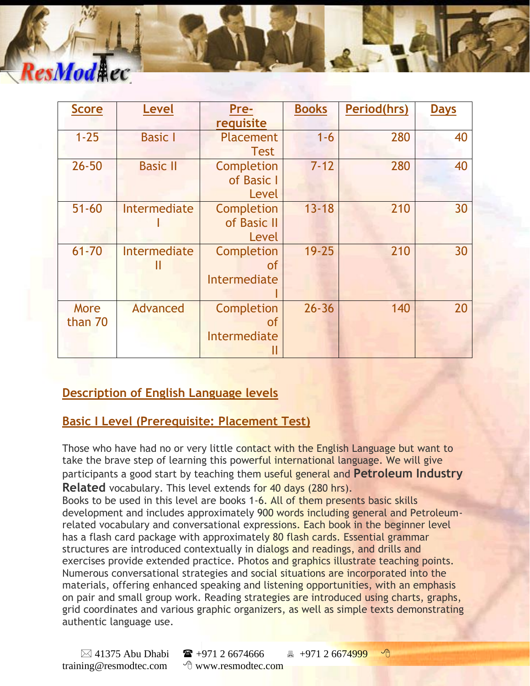# ResMod#ec

| <b>Score</b>    | <b>Level</b>      | Pre-<br>requisite                                | <b>Books</b> | <b>Period(hrs)</b> | <b>Days</b> |
|-----------------|-------------------|--------------------------------------------------|--------------|--------------------|-------------|
| $1 - 25$        | <b>Basic I</b>    | <b>Placement</b>                                 | $1 - 6$      | 280                | 40          |
| $26 - 50$       | <b>Basic II</b>   | <b>Test</b><br>Completion<br>of Basic I<br>Level | $7 - 12$     | 280                | 40          |
| $51 - 60$       | Intermediate      | Completion<br>of Basic II<br>Level               | $13 - 18$    | 210                | 30          |
| $61 - 70$       | Intermediate<br>н | Completion<br><b>of</b><br>Intermediate          | $19 - 25$    | 210                | 30          |
| More<br>than 70 | Advanced          | Completion<br><b>of</b><br>Intermediate          | $26 - 36$    | 140                | 20          |

### **Description of English Language levels**

#### **Basic I Level (Prerequisite: Placement Test)**

Those who have had no or very little contact with the English Language but want to take the brave step of learning this powerful international language. We will give participants a good start by teaching them useful general and **Petroleum Industry Related** vocabulary. This level extends for 40 days (280 hrs).

Books to be used in this level are books 1-6. All of them presents basic skills development and includes approximately 900 words including general and Petroleumrelated vocabulary and conversational expressions. Each book in the beginner level has a flash card package with approximately 80 flash cards. Essential grammar structures are introduced contextually in dialogs and readings, and drills and exercises provide extended practice. Photos and graphics illustrate teaching points. Numerous conversational strategies and social situations are incorporated into the materials, offering enhanced speaking and listening opportunities, with an emphasis on pair and small group work. Reading strategies are introduced using charts, graphs, grid coordinates and various graphic organizers, as well as simple texts demonstrating authentic language use.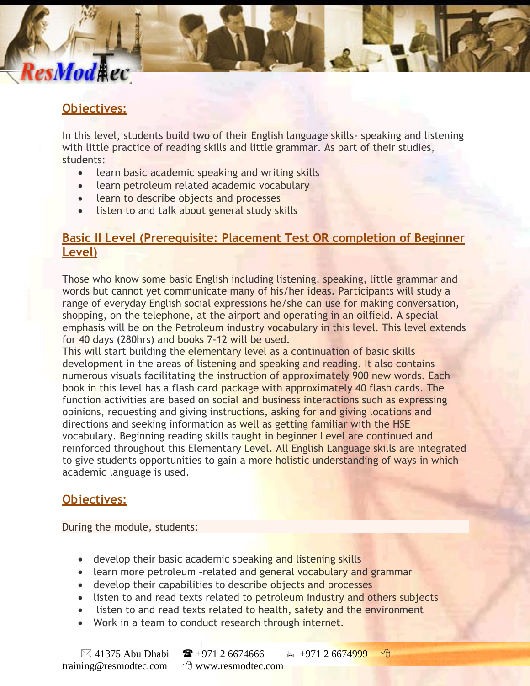# **Objectives:**

ResMod**A**ec

In this level, students build two of their English language skills- speaking and listening with little practice of reading skills and little grammar. As part of their studies, students:

- learn basic academic speaking and writing skills
- learn petroleum related academic vocabulary
- learn to describe objects and processes
- listen to and talk about general study skills

#### **Basic II Level (Prerequisite: Placement Test OR completion of Beginner Level)**

Those who know some basic English including listening, speaking, little grammar and words but cannot yet communicate many of his/her ideas. Participants will study a range of everyday English social expressions he/she can use for making conversation, shopping, on the telephone, at the airport and operating in an oilfield. A special emphasis will be on the Petroleum industry vocabulary in this level. This level extends for 40 days (280hrs) and books 7-12 will be used.

This will start building the elementary level as a continuation of basic skills development in the areas of listening and speaking and reading. It also contains numerous visuals facilitating the instruction of approximately 900 new words. Each book in this level has a flash card package with approximately 40 flash cards. The function activities are based on social and business interactions such as expressing opinions, requesting and giving instructions, asking for and giving locations and directions and seeking information as well as getting familiar with the HSE vocabulary. Beginning reading skills taught in beginner Level are continued and reinforced throughout this Elementary Level. All English Language skills are integrated to give students opportunities to gain a more holistic understanding of ways in which academic language is used.

#### **Objectives:**

During the module, students:

- develop their basic academic speaking and listening skills
- learn more petroleum –related and general vocabulary and grammar
- develop their capabilities to describe objects and processes
- listen to and read texts related to petroleum industry and others subjects
- listen to and read texts related to health, safety and the environment
- Work in a team to conduct research through internet.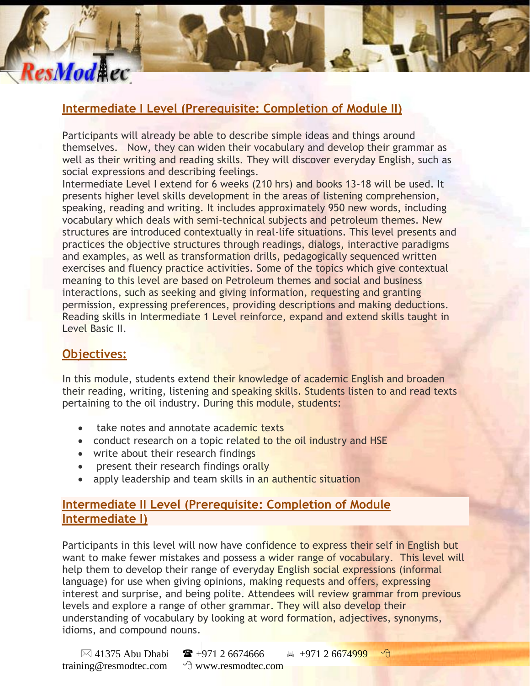# **Intermediate I Level (Prerequisite: Completion of Module II)**

Participants will already be able to describe simple ideas and things around themselves. Now, they can widen their vocabulary and develop their grammar as well as their writing and reading skills. They will discover everyday English, such as social expressions and describing feelings.

Intermediate Level I extend for 6 weeks (210 hrs) and books 13-18 will be used. It presents higher level skills development in the areas of listening comprehension, speaking, reading and writing. It includes approximately 950 new words, including vocabulary which deals with semi-technical subjects and petroleum themes. New structures are introduced contextually in real-life situations. This level presents and practices the objective structures through readings, dialogs, interactive paradigms and examples, as well as transformation drills, pedagogically sequenced written exercises and fluency practice activities. Some of the topics which give contextual meaning to this level are based on Petroleum themes and social and business interactions, such as seeking and giving information, requesting and granting permission, expressing preferences, providing descriptions and making deductions. Reading skills in Intermediate 1 Level reinforce, expand and extend skills taught in Level Basic II.

#### **Objectives:**

ResModAec

In this module, students extend their knowledge of academic English and broaden their reading, writing, listening and speaking skills. Students listen to and read texts pertaining to the oil industry. During this module, students:

- take notes and annotate academic texts
- conduct research on a topic related to the oil industry and HSE
- write about their research findings
- present their research findings orally
- apply leadership and team skills in an authentic situation

#### **Intermediate II Level (Prerequisite: Completion of Module Intermediate I)**

Participants in this level will now have confidence to express their self in English but want to make fewer mistakes and possess a wider range of vocabulary. This level will help them to develop their range of everyday English social expressions (informal language) for use when giving opinions, making requests and offers, expressing interest and surprise, and being polite. Attendees will review grammar from previous levels and explore a range of other grammar. They will also develop their understanding of vocabulary by looking at word formation, adjectives, synonyms, idioms, and compound nouns.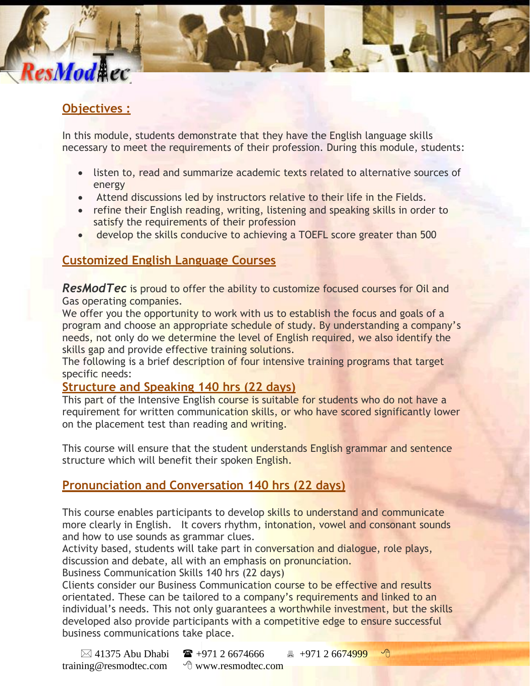# **Objectives :**

ResModAec

In this module, students demonstrate that they have the English language skills necessary to meet the requirements of their profession. During this module, students:

- listen to, read and summarize academic texts related to alternative sources of energy
- Attend discussions led by instructors relative to their life in the Fields.
- refine their English reading, writing, listening and speaking skills in order to satisfy the requirements of their profession
- develop the skills conducive to achieving a TOEFL score greater than 500

#### **Customized English Language Courses**

*ResModTec* is proud to offer the ability to customize focused courses for Oil and Gas operating companies.

We offer you the opportunity to work with us to establish the focus and goals of a program and choose an appropriate schedule of study. By understanding a company's needs, not only do we determine the level of English required, we also identify the skills gap and provide effective training solutions.

The following is a brief description of four intensive training programs that target specific needs:

#### **Structure and Speaking 140 hrs (22 days)**

This part of the Intensive English course is suitable for students who do not have a requirement for written communication skills, or who have scored significantly lower on the placement test than reading and writing.

This course will ensure that the student understands English grammar and sentence structure which will benefit their spoken English.

#### **Pronunciation and Conversation 140 hrs (22 days)**

This course enables participants to develop skills to understand and communicate more clearly in English. It covers rhythm, intonation, yowel and consonant sounds and how to use sounds as grammar clues.

Activity based, students will take part in conversation and dialogue, role plays, discussion and debate, all with an emphasis on pronunciation.

Business Communication Skills 140 hrs (22 days)

Clients consider our Business Communication course to be effective and results orientated. These can be tailored to a company's requirements and linked to an individual's needs. This not only guarantees a worthwhile investment, but the skills developed also provide participants with a competitive edge to ensure successful business communications take place.